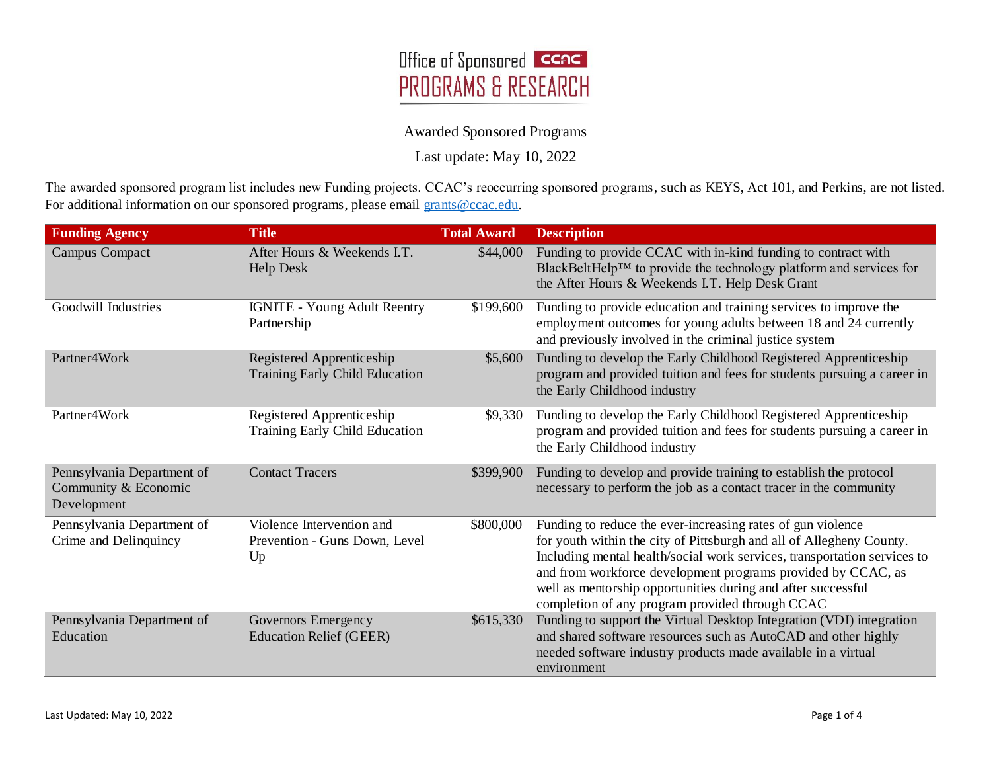

Last update: May 10, 2022

The awarded sponsored program list includes new Funding projects. CCAC's reoccurring sponsored programs, such as KEYS, Act 101, and Perkins, are not listed. For additional information on our sponsored programs, please email [grants@ccac.edu.](mailto:grants@ccac.edu)

| <b>Funding Agency</b>                                             | <b>Title</b>                                                     | <b>Total Award</b> | <b>Description</b>                                                                                                                                                                                                                                                                                                                                                                                 |
|-------------------------------------------------------------------|------------------------------------------------------------------|--------------------|----------------------------------------------------------------------------------------------------------------------------------------------------------------------------------------------------------------------------------------------------------------------------------------------------------------------------------------------------------------------------------------------------|
| <b>Campus Compact</b>                                             | After Hours & Weekends I.T.<br>Help Desk                         | \$44,000           | Funding to provide CCAC with in-kind funding to contract with<br>BlackBeltHelp <sup>TM</sup> to provide the technology platform and services for<br>the After Hours & Weekends I.T. Help Desk Grant                                                                                                                                                                                                |
| Goodwill Industries                                               | <b>IGNITE - Young Adult Reentry</b><br>Partnership               | \$199,600          | Funding to provide education and training services to improve the<br>employment outcomes for young adults between 18 and 24 currently<br>and previously involved in the criminal justice system                                                                                                                                                                                                    |
| Partner4Work                                                      | Registered Apprenticeship<br>Training Early Child Education      | \$5,600            | Funding to develop the Early Childhood Registered Apprenticeship<br>program and provided tuition and fees for students pursuing a career in<br>the Early Childhood industry                                                                                                                                                                                                                        |
| Partner4Work                                                      | Registered Apprenticeship<br>Training Early Child Education      | \$9,330            | Funding to develop the Early Childhood Registered Apprenticeship<br>program and provided tuition and fees for students pursuing a career in<br>the Early Childhood industry                                                                                                                                                                                                                        |
| Pennsylvania Department of<br>Community & Economic<br>Development | <b>Contact Tracers</b>                                           | \$399,900          | Funding to develop and provide training to establish the protocol<br>necessary to perform the job as a contact tracer in the community                                                                                                                                                                                                                                                             |
| Pennsylvania Department of<br>Crime and Delinquincy               | Violence Intervention and<br>Prevention - Guns Down, Level<br>Up | \$800,000          | Funding to reduce the ever-increasing rates of gun violence<br>for youth within the city of Pittsburgh and all of Allegheny County.<br>Including mental health/social work services, transportation services to<br>and from workforce development programs provided by CCAC, as<br>well as mentorship opportunities during and after successful<br>completion of any program provided through CCAC |
| Pennsylvania Department of<br>Education                           | Governors Emergency<br><b>Education Relief (GEER)</b>            | \$615,330          | Funding to support the Virtual Desktop Integration (VDI) integration<br>and shared software resources such as AutoCAD and other highly<br>needed software industry products made available in a virtual<br>environment                                                                                                                                                                             |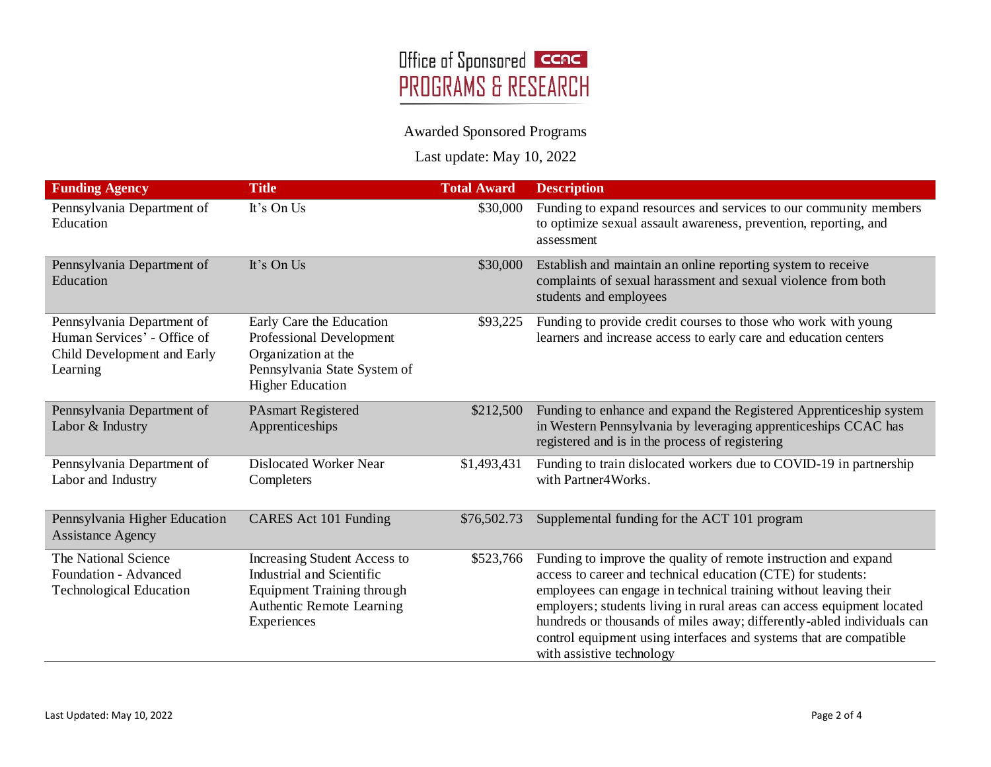

Last update: May 10, 2022

| <b>Funding Agency</b>                                                                                | <b>Title</b>                                                                                                                               | <b>Total Award</b> | <b>Description</b>                                                                                                                                                                                                                                                                                                                                                                                                                                         |
|------------------------------------------------------------------------------------------------------|--------------------------------------------------------------------------------------------------------------------------------------------|--------------------|------------------------------------------------------------------------------------------------------------------------------------------------------------------------------------------------------------------------------------------------------------------------------------------------------------------------------------------------------------------------------------------------------------------------------------------------------------|
| Pennsylvania Department of<br>Education                                                              | It's On Us                                                                                                                                 | \$30,000           | Funding to expand resources and services to our community members<br>to optimize sexual assault awareness, prevention, reporting, and<br>assessment                                                                                                                                                                                                                                                                                                        |
| Pennsylvania Department of<br>Education                                                              | It's On Us                                                                                                                                 | \$30,000           | Establish and maintain an online reporting system to receive<br>complaints of sexual harassment and sexual violence from both<br>students and employees                                                                                                                                                                                                                                                                                                    |
| Pennsylvania Department of<br>Human Services' - Office of<br>Child Development and Early<br>Learning | Early Care the Education<br>Professional Development<br>Organization at the<br>Pennsylvania State System of<br><b>Higher Education</b>     | \$93,225           | Funding to provide credit courses to those who work with young<br>learners and increase access to early care and education centers                                                                                                                                                                                                                                                                                                                         |
| Pennsylvania Department of<br>Labor & Industry                                                       | <b>PAsmart Registered</b><br>Apprenticeships                                                                                               | \$212,500          | Funding to enhance and expand the Registered Apprenticeship system<br>in Western Pennsylvania by leveraging apprenticeships CCAC has<br>registered and is in the process of registering                                                                                                                                                                                                                                                                    |
| Pennsylvania Department of<br>Labor and Industry                                                     | <b>Dislocated Worker Near</b><br>Completers                                                                                                | \$1,493,431        | Funding to train dislocated workers due to COVID-19 in partnership<br>with Partner4Works.                                                                                                                                                                                                                                                                                                                                                                  |
| Pennsylvania Higher Education<br><b>Assistance Agency</b>                                            | CARES Act 101 Funding                                                                                                                      | \$76,502.73        | Supplemental funding for the ACT 101 program                                                                                                                                                                                                                                                                                                                                                                                                               |
| The National Science<br>Foundation - Advanced<br><b>Technological Education</b>                      | Increasing Student Access to<br>Industrial and Scientific<br><b>Equipment Training through</b><br>Authentic Remote Learning<br>Experiences | \$523,766          | Funding to improve the quality of remote instruction and expand<br>access to career and technical education (CTE) for students:<br>employees can engage in technical training without leaving their<br>employers; students living in rural areas can access equipment located<br>hundreds or thousands of miles away; differently-abled individuals can<br>control equipment using interfaces and systems that are compatible<br>with assistive technology |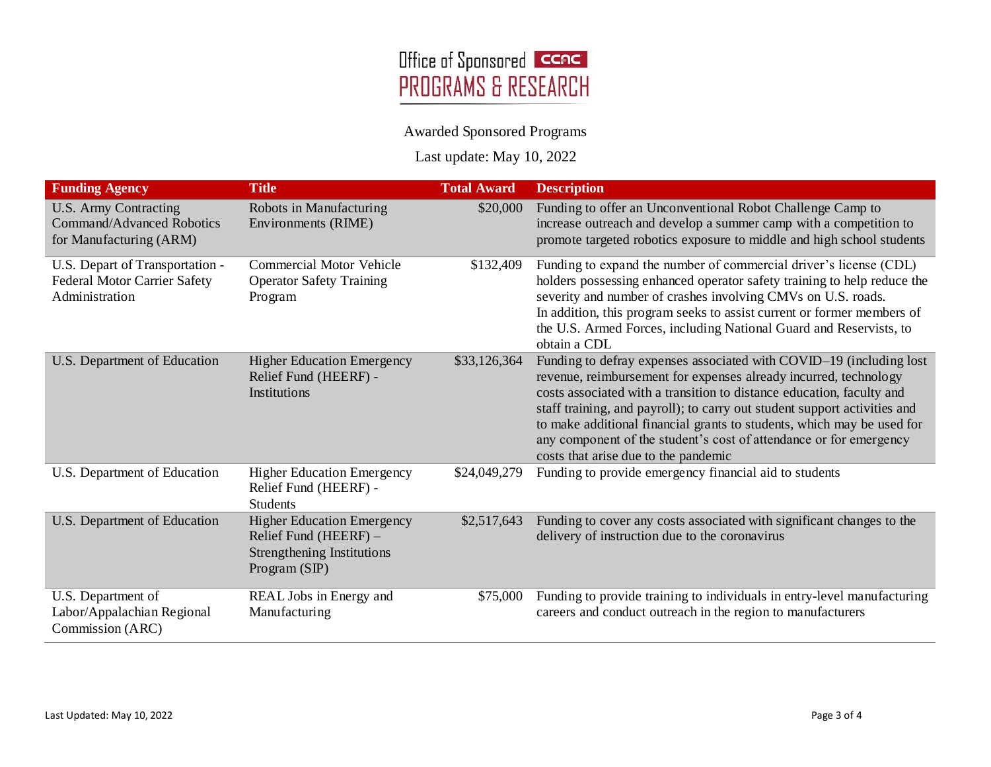

Last update: May 10, 2022

| <b>Funding Agency</b>                                                                    | <b>Title</b>                                                                                                           | <b>Total Award</b> | <b>Description</b>                                                                                                                                                                                                                                                                                                                                                                                                                                                                    |
|------------------------------------------------------------------------------------------|------------------------------------------------------------------------------------------------------------------------|--------------------|---------------------------------------------------------------------------------------------------------------------------------------------------------------------------------------------------------------------------------------------------------------------------------------------------------------------------------------------------------------------------------------------------------------------------------------------------------------------------------------|
| U.S. Army Contracting<br>Command/Advanced Robotics<br>for Manufacturing (ARM)            | Robots in Manufacturing<br>Environments (RIME)                                                                         | \$20,000           | Funding to offer an Unconventional Robot Challenge Camp to<br>increase outreach and develop a summer camp with a competition to<br>promote targeted robotics exposure to middle and high school students                                                                                                                                                                                                                                                                              |
| U.S. Depart of Transportation -<br><b>Federal Motor Carrier Safety</b><br>Administration | <b>Commercial Motor Vehicle</b><br><b>Operator Safety Training</b><br>Program                                          | \$132,409          | Funding to expand the number of commercial driver's license (CDL)<br>holders possessing enhanced operator safety training to help reduce the<br>severity and number of crashes involving CMVs on U.S. roads.<br>In addition, this program seeks to assist current or former members of<br>the U.S. Armed Forces, including National Guard and Reservists, to<br>obtain a CDL                                                                                                          |
| U.S. Department of Education                                                             | <b>Higher Education Emergency</b><br>Relief Fund (HEERF) -<br>Institutions                                             | \$33,126,364       | Funding to defray expenses associated with COVID-19 (including lost<br>revenue, reimbursement for expenses already incurred, technology<br>costs associated with a transition to distance education, faculty and<br>staff training, and payroll); to carry out student support activities and<br>to make additional financial grants to students, which may be used for<br>any component of the student's cost of attendance or for emergency<br>costs that arise due to the pandemic |
| U.S. Department of Education                                                             | <b>Higher Education Emergency</b><br>Relief Fund (HEERF) -<br><b>Students</b>                                          | \$24,049,279       | Funding to provide emergency financial aid to students                                                                                                                                                                                                                                                                                                                                                                                                                                |
| U.S. Department of Education                                                             | <b>Higher Education Emergency</b><br>Relief Fund ( $HEERF$ ) –<br><b>Strengthening Institutions</b><br>Program $(SIP)$ | \$2,517,643        | Funding to cover any costs associated with significant changes to the<br>delivery of instruction due to the coronavirus                                                                                                                                                                                                                                                                                                                                                               |
| U.S. Department of<br>Labor/Appalachian Regional<br>Commission (ARC)                     | REAL Jobs in Energy and<br>Manufacturing                                                                               | \$75,000           | Funding to provide training to individuals in entry-level manufacturing<br>careers and conduct outreach in the region to manufacturers                                                                                                                                                                                                                                                                                                                                                |